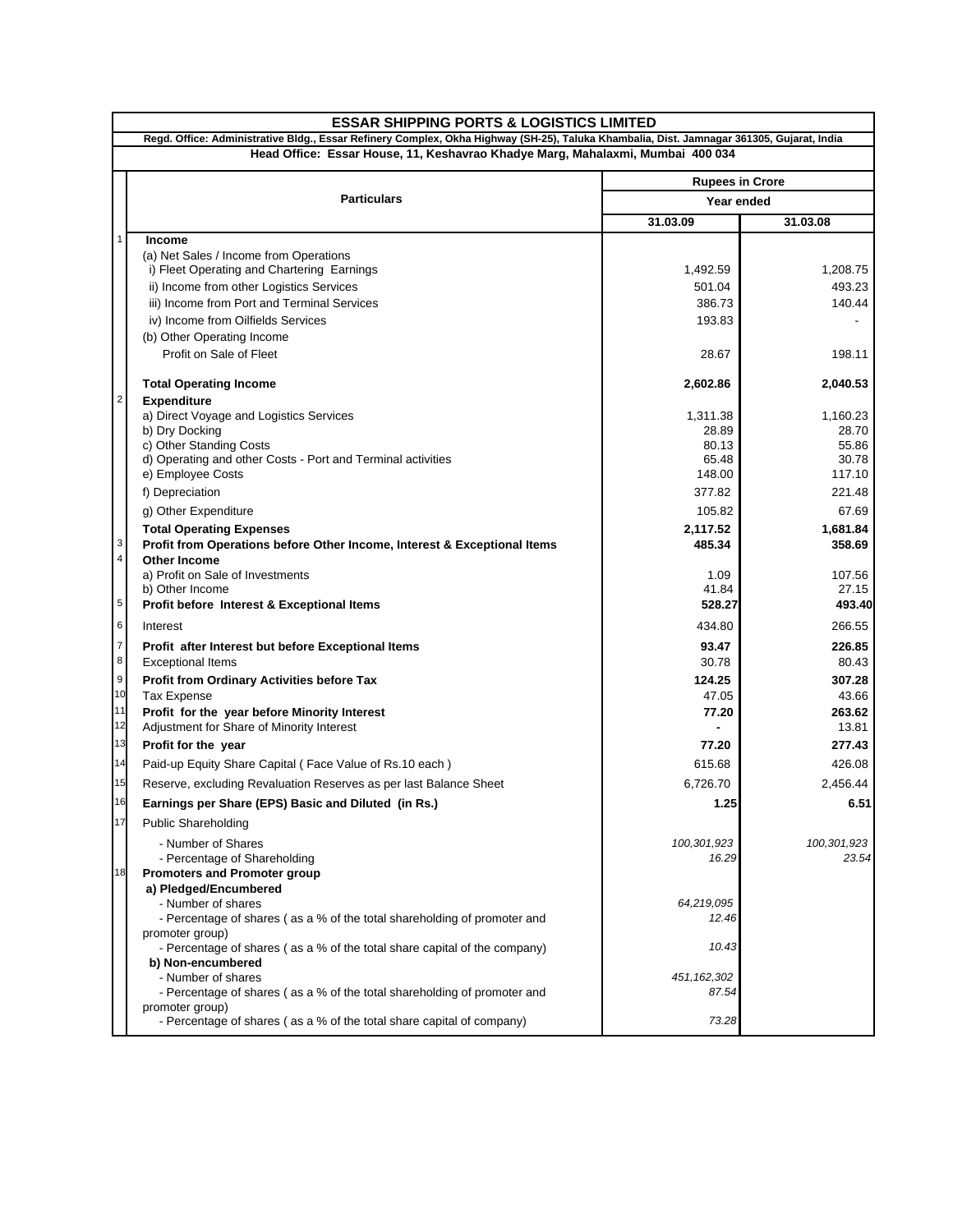| <b>ESSAR SHIPPING PORTS &amp; LOGISTICS LIMITED</b>                                                                                                                                                                         |                                                                                           |                                      |                 |
|-----------------------------------------------------------------------------------------------------------------------------------------------------------------------------------------------------------------------------|-------------------------------------------------------------------------------------------|--------------------------------------|-----------------|
| Regd. Office: Administrative Bldg., Essar Refinery Complex, Okha Highway (SH-25), Taluka Khambalia, Dist. Jamnagar 361305, Gujarat, India<br>Head Office: Essar House, 11, Keshavrao Khadye Marg, Mahalaxmi, Mumbai 400 034 |                                                                                           |                                      |                 |
|                                                                                                                                                                                                                             |                                                                                           |                                      |                 |
|                                                                                                                                                                                                                             | <b>Particulars</b>                                                                        | <b>Rupees in Crore</b><br>Year ended |                 |
|                                                                                                                                                                                                                             |                                                                                           | 31.03.09                             | 31.03.08        |
| $\mathbf{1}$                                                                                                                                                                                                                | <b>Income</b>                                                                             |                                      |                 |
|                                                                                                                                                                                                                             | (a) Net Sales / Income from Operations                                                    |                                      |                 |
|                                                                                                                                                                                                                             | i) Fleet Operating and Chartering Earnings                                                | 1,492.59                             | 1,208.75        |
|                                                                                                                                                                                                                             | ii) Income from other Logistics Services                                                  | 501.04                               | 493.23          |
|                                                                                                                                                                                                                             | iii) Income from Port and Terminal Services<br>iv) Income from Oilfields Services         | 386.73<br>193.83                     | 140.44          |
|                                                                                                                                                                                                                             | (b) Other Operating Income                                                                |                                      |                 |
|                                                                                                                                                                                                                             | Profit on Sale of Fleet                                                                   | 28.67                                | 198.11          |
|                                                                                                                                                                                                                             |                                                                                           |                                      |                 |
| $\overline{\mathbf{c}}$                                                                                                                                                                                                     | <b>Total Operating Income</b>                                                             | 2,602.86                             | 2,040.53        |
|                                                                                                                                                                                                                             | <b>Expenditure</b><br>a) Direct Voyage and Logistics Services                             | 1,311.38                             | 1,160.23        |
|                                                                                                                                                                                                                             | b) Dry Docking                                                                            | 28.89                                | 28.70           |
|                                                                                                                                                                                                                             | c) Other Standing Costs                                                                   | 80.13                                | 55.86           |
|                                                                                                                                                                                                                             | d) Operating and other Costs - Port and Terminal activities<br>e) Employee Costs          | 65.48<br>148.00                      | 30.78<br>117.10 |
|                                                                                                                                                                                                                             | f) Depreciation                                                                           | 377.82                               | 221.48          |
|                                                                                                                                                                                                                             | g) Other Expenditure                                                                      | 105.82                               | 67.69           |
|                                                                                                                                                                                                                             | <b>Total Operating Expenses</b>                                                           | 2,117.52                             | 1,681.84        |
| 3                                                                                                                                                                                                                           | Profit from Operations before Other Income, Interest & Exceptional Items                  | 485.34                               | 358.69          |
| $\overline{\mathbf{4}}$                                                                                                                                                                                                     | <b>Other Income</b>                                                                       |                                      |                 |
|                                                                                                                                                                                                                             | a) Profit on Sale of Investments<br>b) Other Income                                       | 1.09<br>41.84                        | 107.56<br>27.15 |
| 5                                                                                                                                                                                                                           | Profit before Interest & Exceptional Items                                                | 528.27                               | 493.40          |
| 6                                                                                                                                                                                                                           | Interest                                                                                  | 434.80                               | 266.55          |
| $\overline{7}$                                                                                                                                                                                                              | Profit after Interest but before Exceptional Items                                        | 93.47                                | 226.85          |
| 8                                                                                                                                                                                                                           | <b>Exceptional Items</b>                                                                  | 30.78                                | 80.43           |
| 9                                                                                                                                                                                                                           | Profit from Ordinary Activities before Tax                                                | 124.25                               | 307.28          |
| 10                                                                                                                                                                                                                          | <b>Tax Expense</b>                                                                        | 47.05                                | 43.66           |
| 11<br>12                                                                                                                                                                                                                    | Profit for the year before Minority Interest<br>Adjustment for Share of Minority Interest | 77.20                                | 263.62<br>13.81 |
| 13                                                                                                                                                                                                                          | Profit for the year                                                                       | 77.20                                | 277.43          |
| 14                                                                                                                                                                                                                          | Paid-up Equity Share Capital (Face Value of Rs.10 each)                                   | 615.68                               | 426.08          |
| 15                                                                                                                                                                                                                          | Reserve, excluding Revaluation Reserves as per last Balance Sheet                         | 6,726.70                             | 2,456.44        |
| 16                                                                                                                                                                                                                          | Earnings per Share (EPS) Basic and Diluted (in Rs.)                                       | 1.25                                 | 6.51            |
| 17                                                                                                                                                                                                                          | <b>Public Shareholding</b>                                                                |                                      |                 |
|                                                                                                                                                                                                                             | - Number of Shares                                                                        | 100,301,923                          | 100,301,923     |
|                                                                                                                                                                                                                             | - Percentage of Shareholding                                                              | 16.29                                | 23.54           |
| 18                                                                                                                                                                                                                          | <b>Promoters and Promoter group</b>                                                       |                                      |                 |
|                                                                                                                                                                                                                             | a) Pledged/Encumbered<br>- Number of shares                                               | 64,219,095                           |                 |
|                                                                                                                                                                                                                             | - Percentage of shares (as a % of the total shareholding of promoter and                  | 12.46                                |                 |
|                                                                                                                                                                                                                             | promoter group)                                                                           |                                      |                 |
|                                                                                                                                                                                                                             | - Percentage of shares (as a % of the total share capital of the company)                 | 10.43                                |                 |
|                                                                                                                                                                                                                             | b) Non-encumbered<br>- Number of shares                                                   | 451, 162, 302                        |                 |
|                                                                                                                                                                                                                             | - Percentage of shares (as a % of the total shareholding of promoter and                  | 87.54                                |                 |
|                                                                                                                                                                                                                             | promoter group)                                                                           |                                      |                 |
|                                                                                                                                                                                                                             | - Percentage of shares (as a % of the total share capital of company)                     | 73.28                                |                 |